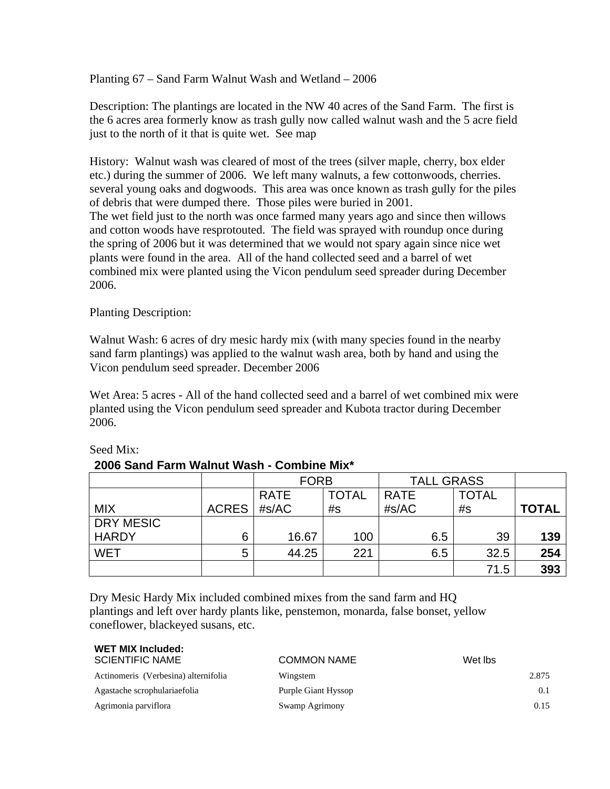Planting 67 – Sand Farm Walnut Wash and Wetland – 2006

Description: The plantings are located in the NW 40 acres of the Sand Farm. The first is the 6 acres area formerly know as trash gully now called walnut wash and the 5 acre field just to the north of it that is quite wet. See map

History: Walnut wash was cleared of most of the trees (silver maple, cherry, box elder etc.) during the summer of 2006. We left many walnuts, a few cottonwoods, cherries. several young oaks and dogwoods. This area was once known as trash gully for the piles of debris that were dumped there. Those piles were buried in 2001. The wet field just to the north was once farmed many years ago and since then willows and cotton woods have resprotouted. The field was sprayed with roundup once during the spring of 2006 but it was determined that we would not spary again since nice wet plants were found in the area. All of the hand collected seed and a barrel of wet combined mix were planted using the Vicon pendulum seed spreader during December 2006.

Planting Description:

Walnut Wash: 6 acres of dry mesic hardy mix (with many species found in the nearby sand farm plantings) was applied to the walnut wash area, both by hand and using the Vicon pendulum seed spreader. December 2006

Wet Area: 5 acres - All of the hand collected seed and a barrel of wet combined mix were planted using the Vicon pendulum seed spreader and Kubota tractor during December 2006.

|                  |              | <b>FORB</b> |              | <b>TALL GRASS</b> |              |              |
|------------------|--------------|-------------|--------------|-------------------|--------------|--------------|
|                  |              | <b>RATE</b> | <b>TOTAL</b> | <b>RATE</b>       | <b>TOTAL</b> |              |
| <b>MIX</b>       | <b>ACRES</b> | #s/AC       | #s           | #s/AC             | #s           | <b>TOTAL</b> |
| <b>DRY MESIC</b> |              |             |              |                   |              |              |
| <b>HARDY</b>     | 6            | 16.67       | 100          | 6.5               | 39           | 139          |
| <b>WET</b>       | 5            | 44.25       | 221          | 6.5               | 32.5         | 254          |
|                  |              |             |              |                   | 71.5         | 393          |

## Seed Mix:

we **we have a set of the set of the set of the set of the set of the set of the set of the set of the set of th** 

## **2006 Sand Farm Walnut Wash - Combine Mix\***

Dry Mesic Hardy Mix included combined mixes from the sand farm and HQ plantings and left over hardy plants like, penstemon, monarda, false bonset, yellow coneflower, blackeyed susans, etc.

| WET MIX Included:<br><b>SCIENTIFIC NAME</b> | <b>COMMON NAME</b>  | Wet lbs |
|---------------------------------------------|---------------------|---------|
| Actinomeris (Verbesina) alternifolia        | Wingstem            | 2.875   |
| Agastache scrophulariaefolia                | Purple Giant Hyssop | 0.1     |
| Agrimonia parviflora                        | Swamp Agrimony      | 0.15    |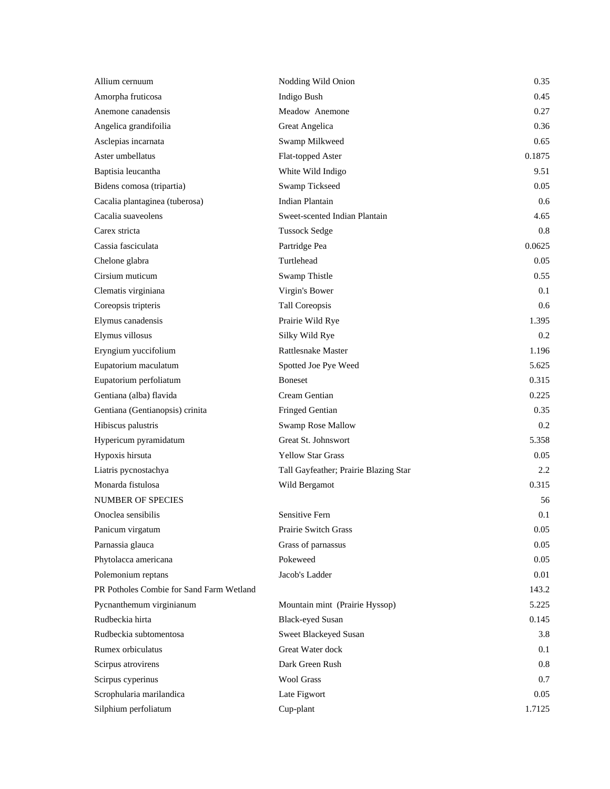| Allium cernuum                           | Nodding Wild Onion                    | 0.35   |
|------------------------------------------|---------------------------------------|--------|
| Amorpha fruticosa                        | Indigo Bush                           | 0.45   |
| Anemone canadensis                       | Meadow Anemone                        | 0.27   |
| Angelica grandifoilia                    | Great Angelica                        | 0.36   |
| Asclepias incarnata                      | Swamp Milkweed                        | 0.65   |
| Aster umbellatus                         | Flat-topped Aster                     | 0.1875 |
| Baptisia leucantha                       | White Wild Indigo                     | 9.51   |
| Bidens comosa (tripartia)                | <b>Swamp Tickseed</b>                 | 0.05   |
| Cacalia plantaginea (tuberosa)           | <b>Indian Plantain</b>                | 0.6    |
| Cacalia suaveolens                       | Sweet-scented Indian Plantain         | 4.65   |
| Carex stricta                            | <b>Tussock Sedge</b>                  | 0.8    |
| Cassia fasciculata                       | Partridge Pea                         | 0.0625 |
| Chelone glabra                           | Turtlehead                            | 0.05   |
| Cirsium muticum                          | Swamp Thistle                         | 0.55   |
| Clematis virginiana                      | Virgin's Bower                        | 0.1    |
| Coreopsis tripteris                      | <b>Tall Coreopsis</b>                 | 0.6    |
| Elymus canadensis                        | Prairie Wild Rye                      | 1.395  |
| Elymus villosus                          | Silky Wild Rye                        | 0.2    |
| Eryngium yuccifolium                     | <b>Rattlesnake Master</b>             | 1.196  |
| Eupatorium maculatum                     | Spotted Joe Pye Weed                  | 5.625  |
| Eupatorium perfoliatum                   | <b>Boneset</b>                        | 0.315  |
| Gentiana (alba) flavida                  | Cream Gentian                         | 0.225  |
| Gentiana (Gentianopsis) crinita          | Fringed Gentian                       | 0.35   |
| Hibiscus palustris                       | Swamp Rose Mallow                     | 0.2    |
| Hypericum pyramidatum                    | Great St. Johnswort                   | 5.358  |
| Hypoxis hirsuta                          | <b>Yellow Star Grass</b>              | 0.05   |
| Liatris pycnostachya                     | Tall Gayfeather; Prairie Blazing Star | 2.2    |
| Monarda fistulosa                        | Wild Bergamot                         | 0.315  |
| <b>NUMBER OF SPECIES</b>                 |                                       | 56     |
| Onoclea sensibilis                       | Sensitive Fern                        | 0.1    |
| Panicum virgatum                         | Prairie Switch Grass                  | 0.05   |
| Parnassia glauca                         | Grass of parnassus                    | 0.05   |
| Phytolacca americana                     | Pokeweed                              | 0.05   |
| Polemonium reptans                       | Jacob's Ladder                        | 0.01   |
| PR Potholes Combie for Sand Farm Wetland |                                       | 143.2  |
| Pycnanthemum virginianum                 | Mountain mint (Prairie Hyssop)        | 5.225  |
| Rudbeckia hirta                          | <b>Black-eyed Susan</b>               | 0.145  |
| Rudbeckia subtomentosa                   | Sweet Blackeyed Susan                 | 3.8    |
| Rumex orbiculatus                        | Great Water dock                      | 0.1    |
| Scirpus atrovirens                       | Dark Green Rush                       | 0.8    |
| Scirpus cyperinus                        | <b>Wool Grass</b>                     | 0.7    |
| Scrophularia marilandica                 | Late Figwort                          | 0.05   |
| Silphium perfoliatum                     | Cup-plant                             | 1.7125 |